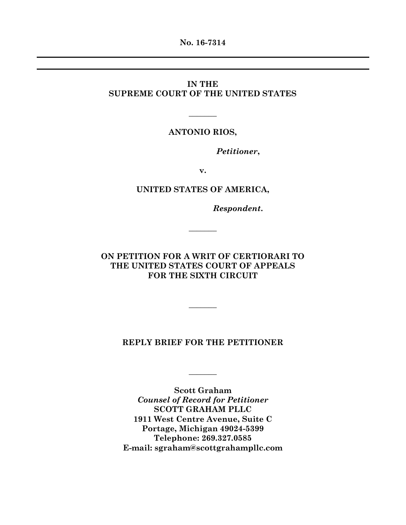**No. 16-7314**

# **IN THE SUPREME COURT OF THE UNITED STATES**

#### **ANTONIO RIOS,**

 $\mathcal{L}$ 

*Petitioner***,**

**v.**

### **UNITED STATES OF AMERICA,**

*Respondent***.**

# **ON PETITION FOR A WRIT OF CERTIORARI TO THE UNITED STATES COURT OF APPEALS FOR THE SIXTH CIRCUIT**

 $\overline{\phantom{a}}$ 

 $\overline{\phantom{a}}$ 

#### **REPLY BRIEF FOR THE PETITIONER**

**Scott Graham** *Counsel of Record for Petitioner* **SCOTT GRAHAM PLLC 1911 West Centre Avenue, Suite C Portage, Michigan 49024-5399 Telephone: 269.327.0585 E-mail: sgraham@scottgrahampllc.com**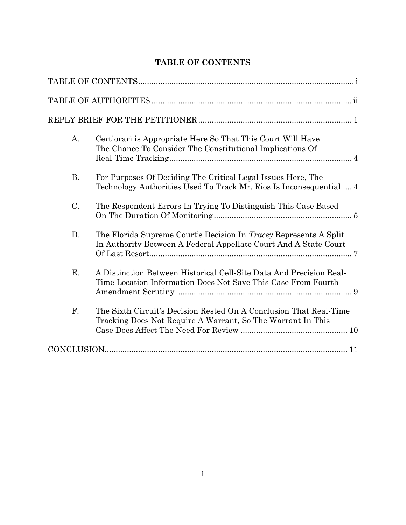# **TABLE OF CONTENTS**

| A.        | Certiorari is Appropriate Here So That This Court Will Have<br>The Chance To Consider The Constitutional Implications Of              |
|-----------|---------------------------------------------------------------------------------------------------------------------------------------|
| <b>B.</b> | For Purposes Of Deciding The Critical Legal Issues Here, The<br>Technology Authorities Used To Track Mr. Rios Is Inconsequential  4   |
| C.        | The Respondent Errors In Trying To Distinguish This Case Based                                                                        |
| D.        | The Florida Supreme Court's Decision In Tracey Represents A Split<br>In Authority Between A Federal Appellate Court And A State Court |
| E.        | A Distinction Between Historical Cell-Site Data And Precision Real-<br>Time Location Information Does Not Save This Case From Fourth  |
| F.        | The Sixth Circuit's Decision Rested On A Conclusion That Real-Time<br>Tracking Does Not Require A Warrant, So The Warrant In This     |
|           |                                                                                                                                       |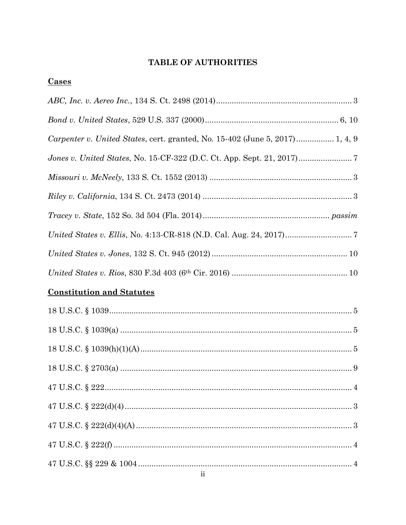# **TABLE OF AUTHORITIES**

| <b>Cases</b>                                                                 |  |
|------------------------------------------------------------------------------|--|
|                                                                              |  |
|                                                                              |  |
| Carpenter v. United States, cert. granted, No. 15-402 (June 5, 2017) 1, 4, 9 |  |
|                                                                              |  |
|                                                                              |  |
|                                                                              |  |
|                                                                              |  |
|                                                                              |  |
|                                                                              |  |
|                                                                              |  |
| <b>Constitution and Statutes</b>                                             |  |
|                                                                              |  |
|                                                                              |  |
|                                                                              |  |
|                                                                              |  |
|                                                                              |  |
|                                                                              |  |
|                                                                              |  |
|                                                                              |  |
|                                                                              |  |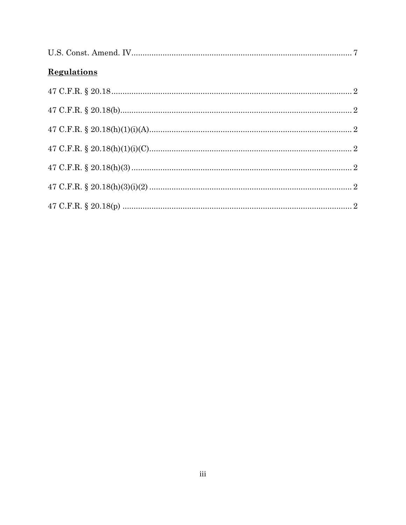| <b>Regulations</b> |  |
|--------------------|--|
|                    |  |
|                    |  |
|                    |  |
|                    |  |
|                    |  |
|                    |  |
|                    |  |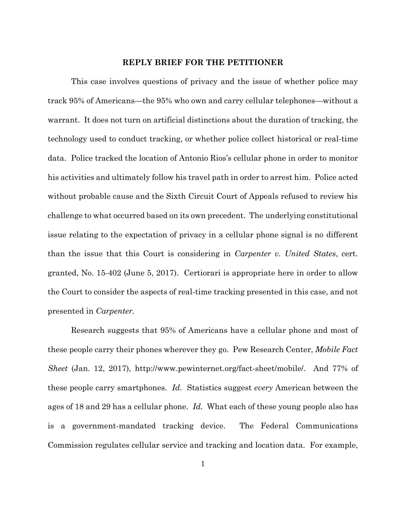#### **REPLY BRIEF FOR THE PETITIONER**

This case involves questions of privacy and the issue of whether police may track 95% of Americans—the 95% who own and carry cellular telephones—without a warrant. It does not turn on artificial distinctions about the duration of tracking, the technology used to conduct tracking, or whether police collect historical or real-time data. Police tracked the location of Antonio Rios's cellular phone in order to monitor his activities and ultimately follow his travel path in order to arrest him. Police acted without probable cause and the Sixth Circuit Court of Appeals refused to review his challenge to what occurred based on its own precedent. The underlying constitutional issue relating to the expectation of privacy in a cellular phone signal is no different than the issue that this Court is considering in *Carpenter v. United States*, cert. granted, No. 15-402 (June 5, 2017). Certiorari is appropriate here in order to allow the Court to consider the aspects of real-time tracking presented in this case, and not presented in *Carpenter.*

Research suggests that 95% of Americans have a cellular phone and most of these people carry their phones wherever they go. Pew Research Center, *Mobile Fact Sheet* (Jan. 12, 2017), http://www.pewinternet.org/fact-sheet/mobile/. And 77% of these people carry smartphones. *Id.* Statistics suggest *every* American between the ages of 18 and 29 has a cellular phone. *Id.* What each of these young people also has is a government-mandated tracking device. The Federal Communications Commission regulates cellular service and tracking and location data. For example,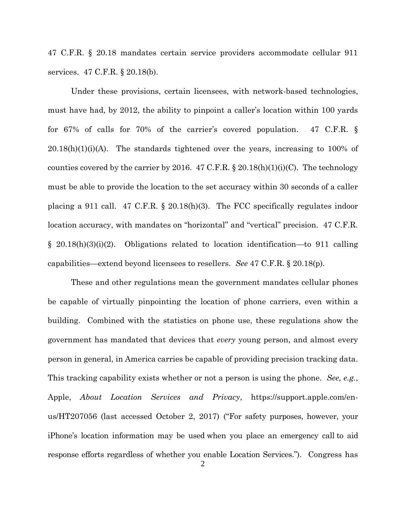47 C.F.R. § 20.18 mandates certain service providers accommodate cellular 911 services. 47 C.F.R. § 20.18(b).

Under these provisions, certain licensees, with network-based technologies, must have had, by 2012, the ability to pinpoint a caller's location within 100 yards for 67% of calls for 70% of the carrier's covered population. 47 C.F.R. §  $20.18(h)(1)(i)(A)$ . The standards tightened over the years, increasing to 100% of counties covered by the carrier by 2016. 47 C.F.R.  $\S$  20.18(h)(1)(i)(C). The technology must be able to provide the location to the set accuracy within 30 seconds of a caller placing a 911 call. 47 C.F.R. § 20.18(h)(3). The FCC specifically regulates indoor location accuracy, with mandates on "horizontal" and "vertical" precision. 47 C.F.R. § 20.18(h)(3)(i)(2). Obligations related to location identification—to 911 calling capabilities—extend beyond licensees to resellers. *See* 47 C.F.R. § 20.18(p).

These and other regulations mean the government mandates cellular phones be capable of virtually pinpointing the location of phone carriers, even within a building. Combined with the statistics on phone use, these regulations show the government has mandated that devices that *every* young person, and almost every person in general, in America carries be capable of providing precision tracking data. This tracking capability exists whether or not a person is using the phone. *See, e.g.*, Apple, *About Location Services and Privacy*, https://support.apple.com/enus/HT207056 (last accessed October 2, 2017) ("For safety purposes, however, your iPhone's location information may be used when you place an emergency call to aid response efforts regardless of whether you enable Location Services."). Congress has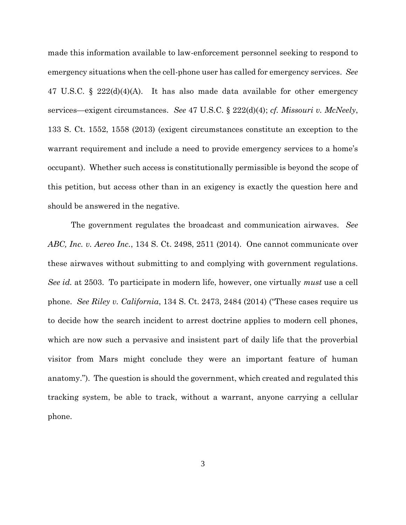made this information available to law-enforcement personnel seeking to respond to emergency situations when the cell-phone user has called for emergency services. *See* 47 U.S.C. § 222(d)(4)(A). It has also made data available for other emergency services—exigent circumstances. *See* 47 U.S.C. § 222(d)(4); *cf. Missouri v. McNeely*, 133 S. Ct. 1552, 1558 (2013) (exigent circumstances constitute an exception to the warrant requirement and include a need to provide emergency services to a home's occupant). Whether such access is constitutionally permissible is beyond the scope of this petition, but access other than in an exigency is exactly the question here and should be answered in the negative.

The government regulates the broadcast and communication airwaves. *See ABC, Inc. v. Aereo Inc.*, 134 S. Ct. 2498, 2511 (2014). One cannot communicate over these airwaves without submitting to and complying with government regulations. *See id.* at 2503. To participate in modern life, however, one virtually *must* use a cell phone. *See Riley v. California*, 134 S. Ct. 2473, 2484 (2014) ("These cases require us to decide how the search incident to arrest doctrine applies to modern cell phones, which are now such a pervasive and insistent part of daily life that the proverbial visitor from Mars might conclude they were an important feature of human anatomy."). The question is should the government, which created and regulated this tracking system, be able to track, without a warrant, anyone carrying a cellular phone.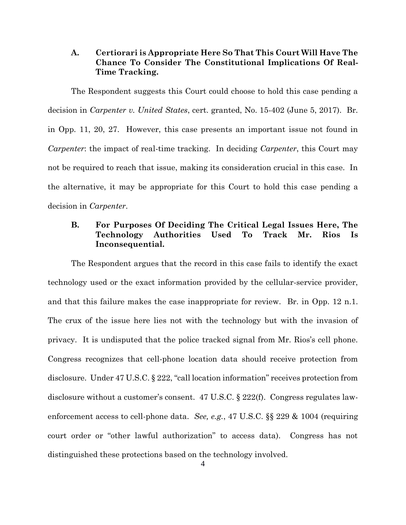### **A. Certiorari is Appropriate Here So That This Court Will Have The Chance To Consider The Constitutional Implications Of Real-Time Tracking.**

The Respondent suggests this Court could choose to hold this case pending a decision in *Carpenter v. United States*, cert. granted, No. 15-402 (June 5, 2017). Br. in Opp. 11, 20, 27. However, this case presents an important issue not found in *Carpenter*: the impact of real-time tracking. In deciding *Carpenter*, this Court may not be required to reach that issue, making its consideration crucial in this case. In the alternative, it may be appropriate for this Court to hold this case pending a decision in *Carpenter*.

# **B. For Purposes Of Deciding The Critical Legal Issues Here, The Technology Authorities Used To Track Mr. Rios Is Inconsequential.**

The Respondent argues that the record in this case fails to identify the exact technology used or the exact information provided by the cellular-service provider, and that this failure makes the case inappropriate for review. Br. in Opp. 12 n.1. The crux of the issue here lies not with the technology but with the invasion of privacy. It is undisputed that the police tracked signal from Mr. Rios's cell phone. Congress recognizes that cell-phone location data should receive protection from disclosure. Under 47 U.S.C. § 222, "call location information" receives protection from disclosure without a customer's consent. 47 U.S.C. § 222(f). Congress regulates lawenforcement access to cell-phone data. *See, e.g.*, 47 U.S.C. §§ 229 & 1004 (requiring court order or "other lawful authorization" to access data). Congress has not distinguished these protections based on the technology involved.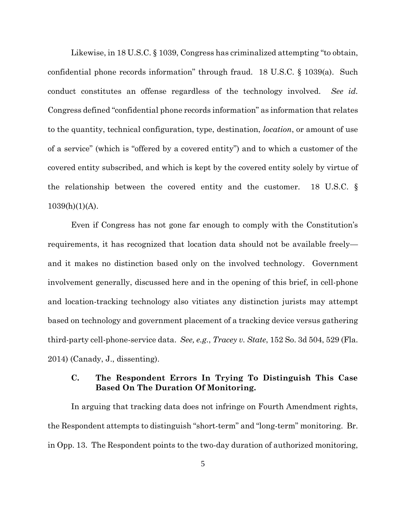Likewise, in 18 U.S.C. § 1039, Congress has criminalized attempting "to obtain, confidential phone records information" through fraud. 18 U.S.C. § 1039(a). Such conduct constitutes an offense regardless of the technology involved. *See id.* Congress defined "confidential phone records information" as information that relates to the quantity, technical configuration, type, destination, *location*, or amount of use of a service" (which is "offered by a covered entity") and to which a customer of the covered entity subscribed, and which is kept by the covered entity solely by virtue of the relationship between the covered entity and the customer. 18 U.S.C. §  $1039(h)(1)(A)$ .

Even if Congress has not gone far enough to comply with the Constitution's requirements, it has recognized that location data should not be available freely and it makes no distinction based only on the involved technology. Government involvement generally, discussed here and in the opening of this brief, in cell-phone and location-tracking technology also vitiates any distinction jurists may attempt based on technology and government placement of a tracking device versus gathering third-party cell-phone-service data. *See, e.g.*, *Tracey v. State*, 152 So. 3d 504, 529 (Fla. 2014) (Canady, J., dissenting).

## **C. The Respondent Errors In Trying To Distinguish This Case Based On The Duration Of Monitoring.**

In arguing that tracking data does not infringe on Fourth Amendment rights, the Respondent attempts to distinguish "short-term" and "long-term" monitoring. Br. in Opp. 13. The Respondent points to the two-day duration of authorized monitoring,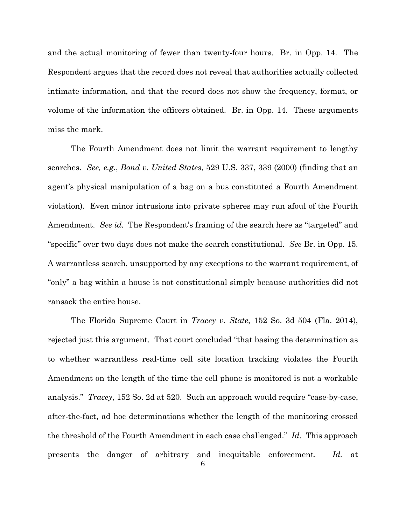and the actual monitoring of fewer than twenty-four hours. Br. in Opp. 14. The Respondent argues that the record does not reveal that authorities actually collected intimate information, and that the record does not show the frequency, format, or volume of the information the officers obtained. Br. in Opp. 14. These arguments miss the mark.

The Fourth Amendment does not limit the warrant requirement to lengthy searches. *See, e.g.*, *Bond v. United States*, 529 U.S. 337, 339 (2000) (finding that an agent's physical manipulation of a bag on a bus constituted a Fourth Amendment violation). Even minor intrusions into private spheres may run afoul of the Fourth Amendment. *See id.* The Respondent's framing of the search here as "targeted" and "specific" over two days does not make the search constitutional. *See* Br. in Opp. 15. A warrantless search, unsupported by any exceptions to the warrant requirement, of "only" a bag within a house is not constitutional simply because authorities did not ransack the entire house.

The Florida Supreme Court in *Tracey v. State*, 152 So. 3d 504 (Fla. 2014), rejected just this argument. That court concluded "that basing the determination as to whether warrantless real-time cell site location tracking violates the Fourth Amendment on the length of the time the cell phone is monitored is not a workable analysis." *Tracey*, 152 So. 2d at 520. Such an approach would require "case-by-case, after-the-fact, ad hoc determinations whether the length of the monitoring crossed the threshold of the Fourth Amendment in each case challenged." *Id.* This approach presents the danger of arbitrary and inequitable enforcement. *Id.* at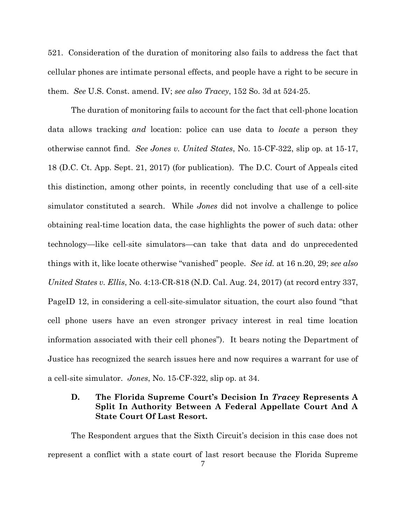521. Consideration of the duration of monitoring also fails to address the fact that cellular phones are intimate personal effects, and people have a right to be secure in them. *See* U.S. Const. amend. IV; *see also Tracey*, 152 So. 3d at 524-25.

The duration of monitoring fails to account for the fact that cell-phone location data allows tracking *and* location: police can use data to *locate* a person they otherwise cannot find. *See Jones v. United States*, No. 15-CF-322, slip op. at 15-17, 18 (D.C. Ct. App. Sept. 21, 2017) (for publication). The D.C. Court of Appeals cited this distinction, among other points, in recently concluding that use of a cell-site simulator constituted a search. While *Jones* did not involve a challenge to police obtaining real-time location data, the case highlights the power of such data: other technology—like cell-site simulators—can take that data and do unprecedented things with it, like locate otherwise "vanished" people. *See id.* at 16 n.20, 29; *see also United States v. Ellis*, No. 4:13-CR-818 (N.D. Cal. Aug. 24, 2017) (at record entry 337, PageID 12, in considering a cell-site-simulator situation, the court also found "that cell phone users have an even stronger privacy interest in real time location information associated with their cell phones"). It bears noting the Department of Justice has recognized the search issues here and now requires a warrant for use of a cell-site simulator. *Jones*, No. 15-CF-322, slip op. at 34.

# **D. The Florida Supreme Court's Decision In** *Tracey* **Represents A Split In Authority Between A Federal Appellate Court And A State Court Of Last Resort.**

The Respondent argues that the Sixth Circuit's decision in this case does not represent a conflict with a state court of last resort because the Florida Supreme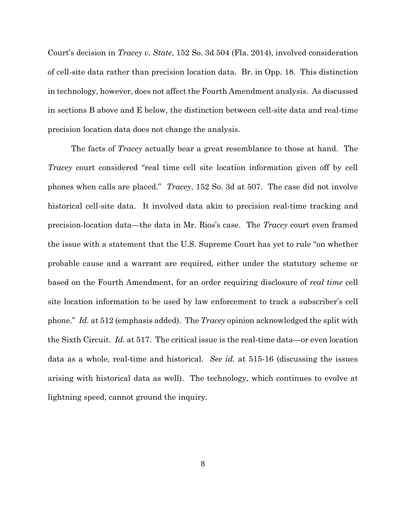Court's decision in *Tracey v. State*, 152 So. 3d 504 (Fla. 2014), involved consideration of cell-site data rather than precision location data. Br. in Opp. 18. This distinction in technology, however, does not affect the Fourth Amendment analysis. As discussed in sections B above and E below, the distinction between cell-site data and real-time precision location data does not change the analysis.

The facts of *Tracey* actually bear a great resemblance to those at hand. The *Tracey* court considered "real time cell site location information given off by cell phones when calls are placed." *Tracey*, 152 So. 3d at 507. The case did not involve historical cell-site data. It involved data akin to precision real-time tracking and precision-location data—the data in Mr. Rios's case. The *Tracey* court even framed the issue with a statement that the U.S. Supreme Court has yet to rule "on whether probable cause and a warrant are required, either under the statutory scheme or based on the Fourth Amendment, for an order requiring disclosure of *real time* cell site location information to be used by law enforcement to track a subscriber's cell phone." *Id.* at 512 (emphasis added). The *Tracey* opinion acknowledged the split with the Sixth Circuit. *Id.* at 517. The critical issue is the real-time data—or even location data as a whole, real-time and historical. *See id.* at 515-16 (discussing the issues arising with historical data as well). The technology, which continues to evolve at lightning speed, cannot ground the inquiry.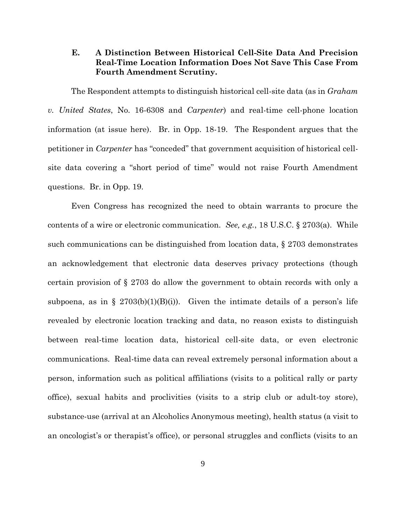#### **E. A Distinction Between Historical Cell-Site Data And Precision Real-Time Location Information Does Not Save This Case From Fourth Amendment Scrutiny.**

The Respondent attempts to distinguish historical cell-site data (as in *Graham v. United States*, No. 16-6308 and *Carpenter*) and real-time cell-phone location information (at issue here). Br. in Opp. 18-19. The Respondent argues that the petitioner in *Carpenter* has "conceded" that government acquisition of historical cellsite data covering a "short period of time" would not raise Fourth Amendment questions. Br. in Opp. 19.

Even Congress has recognized the need to obtain warrants to procure the contents of a wire or electronic communication. *See, e.g.*, 18 U.S.C. § 2703(a). While such communications can be distinguished from location data, § 2703 demonstrates an acknowledgement that electronic data deserves privacy protections (though certain provision of § 2703 do allow the government to obtain records with only a subpoena, as in § 2703(b)(1)(B)(i)). Given the intimate details of a person's life revealed by electronic location tracking and data, no reason exists to distinguish between real-time location data, historical cell-site data, or even electronic communications. Real-time data can reveal extremely personal information about a person, information such as political affiliations (visits to a political rally or party office), sexual habits and proclivities (visits to a strip club or adult-toy store), substance-use (arrival at an Alcoholics Anonymous meeting), health status (a visit to an oncologist's or therapist's office), or personal struggles and conflicts (visits to an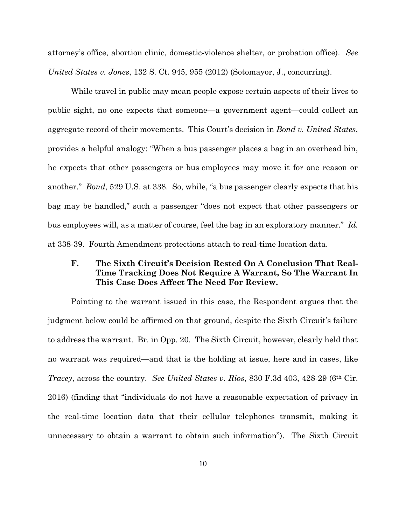attorney's office, abortion clinic, domestic-violence shelter, or probation office). *See United States v. Jones*, 132 S. Ct. 945, 955 (2012) (Sotomayor, J., concurring).

While travel in public may mean people expose certain aspects of their lives to public sight, no one expects that someone—a government agent—could collect an aggregate record of their movements. This Court's decision in *Bond v. United States*, provides a helpful analogy: "When a bus passenger places a bag in an overhead bin, he expects that other passengers or bus employees may move it for one reason or another." *Bond*, 529 U.S. at 338. So, while, "a bus passenger clearly expects that his bag may be handled," such a passenger "does not expect that other passengers or bus employees will, as a matter of course, feel the bag in an exploratory manner." *Id.* at 338-39. Fourth Amendment protections attach to real-time location data.

# **F. The Sixth Circuit's Decision Rested On A Conclusion That Real-Time Tracking Does Not Require A Warrant, So The Warrant In This Case Does Affect The Need For Review.**

Pointing to the warrant issued in this case, the Respondent argues that the judgment below could be affirmed on that ground, despite the Sixth Circuit's failure to address the warrant. Br. in Opp. 20. The Sixth Circuit, however, clearly held that no warrant was required—and that is the holding at issue, here and in cases, like *Tracey*, across the country. *See United States v. Rios*, 830 F.3d 403, 428-29 (6th Cir. 2016) (finding that "individuals do not have a reasonable expectation of privacy in the real-time location data that their cellular telephones transmit, making it unnecessary to obtain a warrant to obtain such information"). The Sixth Circuit